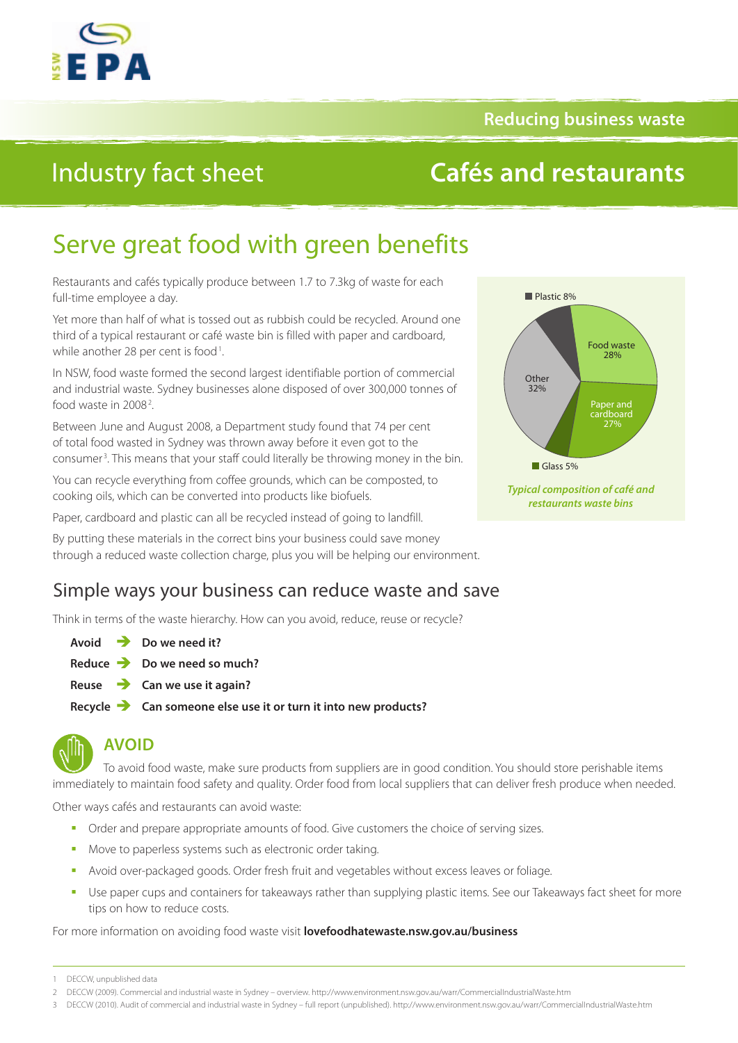

### **Reducing business waste**

# Industry fact sheet

## **Cafés and restaurants**

# Serve great food with green benefits

Restaurants and cafés typically produce between 1.7 to 7.3kg of waste for each full-time employee a day.

Yet more than half of what is tossed out as rubbish could be recycled. Around one third of a typical restaurant or café waste bin is filled with paper and cardboard, while another 28 per cent is food<sup>1</sup>.

In NSW, food waste formed the second largest identifiable portion of commercial and industrial waste. Sydney businesses alone disposed of over 300,000 tonnes of food waste in 2008<sup>2</sup>. .

Between June and August 2008, a Department study found that 74 per cent of total food wasted in Sydney was thrown away before it even got to the consumer<sup>3</sup>. This means that your staff could literally be throwing money in the bin.

You can recycle everything from coffee grounds, which can be composted, to cooking oils, which can be converted into products like biofuels.

Paper, cardboard and plastic can all be recycled instead of going to landfill.

By putting these materials in the correct bins your business could save money through a reduced waste collection charge, plus you will be helping our environment.

### Simple ways your business can reduce waste and save

Think in terms of the waste hierarchy. How can you avoid, reduce, reuse or recycle?

**Avoid Do we need it? Reduce Do we need so much? Reuse Can we use it again?** 

**Recycle Can someone else use it or turn it into new products?**



### **AVOID**

To avoid food waste, make sure products from suppliers are in good condition. You should store perishable items immediately to maintain food safety and quality. Order food from local suppliers that can deliver fresh produce when needed.

Other ways cafés and restaurants can avoid waste:

- Order and prepare appropriate amounts of food. Give customers the choice of serving sizes.
- Move to paperless systems such as electronic order taking.
- Avoid over-packaged goods. Order fresh fruit and vegetables without excess leaves or foliage.
- Use paper cups and containers for takeaways rather than supplying plastic items. See our Takeaways fact sheet for more tips on how to reduce costs.

For more information on avoiding food waste visit **[lovefoodhatewaste.nsw.gov.au/business](http://lovefoodhatewaste.nsw.gov.au/business)**



<sup>2</sup> DECCW (2009). Commercial and industrial waste in Sydney – overview.<http://www.environment.nsw.gov.au/warr/CommercialIndustrialWaste.htm>

3 DECCW (2010). Audit of commercial and industrial waste in Sydney – full report (unpublished).<http://www.environment.nsw.gov.au/warr/CommercialIndustrialWaste.htm>